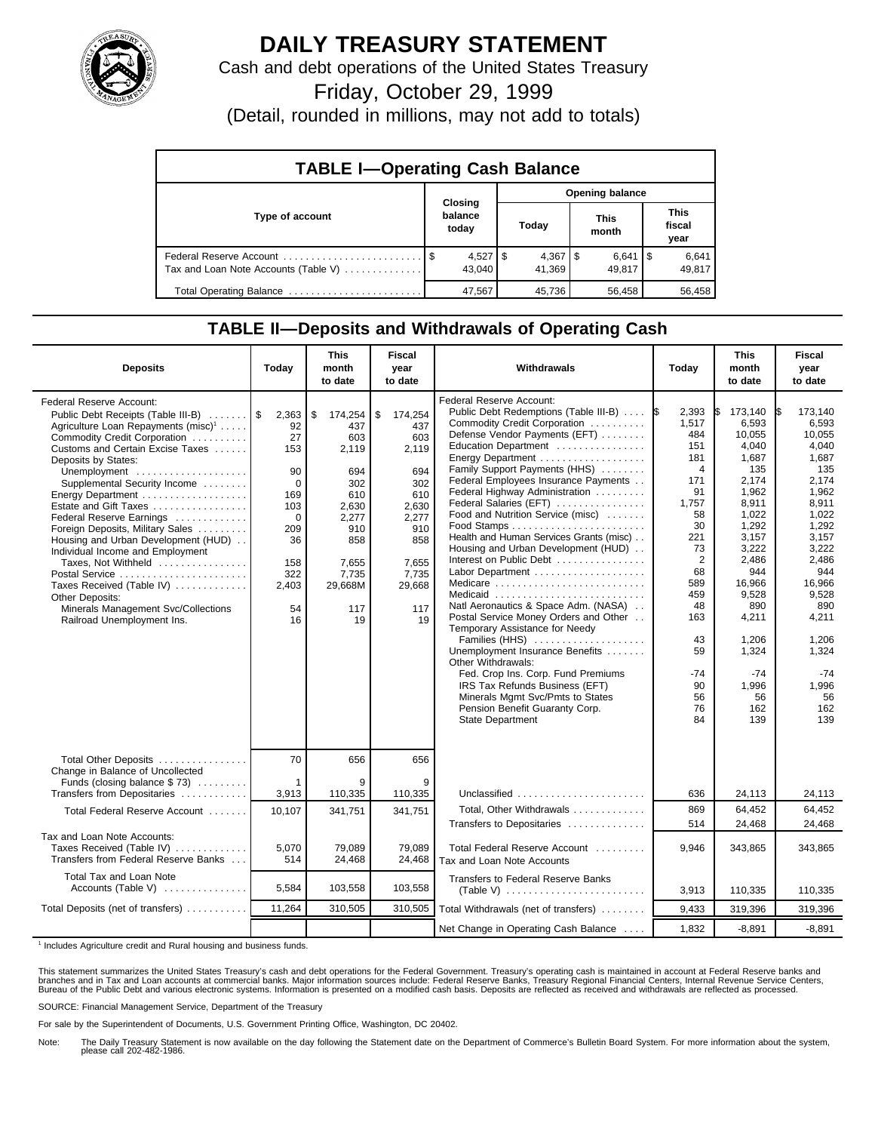

## **DAILY TREASURY STATEMENT**

Cash and debt operations of the United States Treasury

Friday, October 29, 1999

(Detail, rounded in millions, may not add to totals)

| <b>TABLE I-Operating Cash Balance</b> |         |                        |                 |                                 |  |                      |  |                               |  |
|---------------------------------------|---------|------------------------|-----------------|---------------------------------|--|----------------------|--|-------------------------------|--|
|                                       | Closing |                        | Opening balance |                                 |  |                      |  |                               |  |
| Type of account                       |         | balance<br>today       |                 | Today                           |  | <b>This</b><br>month |  | <b>This</b><br>fiscal<br>year |  |
| Tax and Loan Note Accounts (Table V)  |         | $4,527$   \$<br>43.040 |                 | $4,367$ $\frac{1}{3}$<br>41.369 |  | $6,641$ S<br>49.817  |  | 6,641<br>49,817               |  |
| Total Operating Balance               |         | 47,567                 |                 | 45.736                          |  | 56.458               |  | 56,458                        |  |

## **TABLE II—Deposits and Withdrawals of Operating Cash**

| <b>Deposits</b>                                                                                                                                                                                                                                                                                                                                                                                                                                                                                                                                                                                                                  | Today                                                                                                         | <b>This</b><br>month<br>to date                                                                                                     | <b>Fiscal</b><br>year<br>to date                                                                                                   | Withdrawals                                                                                                                                                                                                                                                                                                                                                                                                                                                                                                                                                                                                                                                                                                                                                                                                                                                                               | Today                                                                                                                                                                                   | <b>This</b><br>month<br>to date                                                                                                                                                                                                      | Fiscal<br>year<br>to date                                                                                                                                                                                                     |
|----------------------------------------------------------------------------------------------------------------------------------------------------------------------------------------------------------------------------------------------------------------------------------------------------------------------------------------------------------------------------------------------------------------------------------------------------------------------------------------------------------------------------------------------------------------------------------------------------------------------------------|---------------------------------------------------------------------------------------------------------------|-------------------------------------------------------------------------------------------------------------------------------------|------------------------------------------------------------------------------------------------------------------------------------|-------------------------------------------------------------------------------------------------------------------------------------------------------------------------------------------------------------------------------------------------------------------------------------------------------------------------------------------------------------------------------------------------------------------------------------------------------------------------------------------------------------------------------------------------------------------------------------------------------------------------------------------------------------------------------------------------------------------------------------------------------------------------------------------------------------------------------------------------------------------------------------------|-----------------------------------------------------------------------------------------------------------------------------------------------------------------------------------------|--------------------------------------------------------------------------------------------------------------------------------------------------------------------------------------------------------------------------------------|-------------------------------------------------------------------------------------------------------------------------------------------------------------------------------------------------------------------------------|
| <b>Federal Reserve Account:</b><br>Public Debt Receipts (Table III-B)    \$<br>Agriculture Loan Repayments (misc) <sup>1</sup><br>Commodity Credit Corporation<br>Customs and Certain Excise Taxes<br>Deposits by States:<br>Unemployment<br>Supplemental Security Income<br>Energy Department<br>Estate and Gift Taxes<br>Federal Reserve Earnings<br>Foreign Deposits, Military Sales<br>Housing and Urban Development (HUD)<br>Individual Income and Employment<br>Taxes, Not Withheld<br>Postal Service<br>Taxes Received (Table IV)<br>Other Deposits:<br>Minerals Management Svc/Collections<br>Railroad Unemployment Ins. | 2,363<br>92<br>27<br>153<br>90<br>$\Omega$<br>169<br>103<br>0<br>209<br>36<br>158<br>322<br>2,403<br>54<br>16 | \$<br>174,254<br>437<br>603<br>2,119<br>694<br>302<br>610<br>2.630<br>2,277<br>910<br>858<br>7,655<br>7,735<br>29,668M<br>117<br>19 | \$<br>174,254<br>437<br>603<br>2,119<br>694<br>302<br>610<br>2.630<br>2,277<br>910<br>858<br>7,655<br>7,735<br>29,668<br>117<br>19 | <b>Federal Reserve Account:</b><br>Public Debt Redemptions (Table III-B)<br>Commodity Credit Corporation<br>Defense Vendor Payments (EFT)<br>Education Department<br>Energy Department<br>Family Support Payments (HHS)<br>Federal Employees Insurance Payments<br>Federal Highway Administration<br>Federal Salaries (EFT)<br>Food and Nutrition Service (misc)<br>Health and Human Services Grants (misc)<br>Housing and Urban Development (HUD)<br>Interest on Public Debt<br>Labor Department<br>Medicare<br>Medicaid<br>Natl Aeronautics & Space Adm. (NASA)<br>Postal Service Money Orders and Other<br>Temporary Assistance for Needy<br>Families (HHS)<br>Unemployment Insurance Benefits<br>Other Withdrawals:<br>Fed. Crop Ins. Corp. Fund Premiums<br>IRS Tax Refunds Business (EFT)<br>Minerals Mgmt Svc/Pmts to States<br>Pension Benefit Guaranty Corp.<br>State Department | 2,393<br>1,517<br>484<br>151<br>181<br>4<br>171<br>91<br>1,757<br>58<br>30<br>221<br>73<br>$\overline{2}$<br>68<br>589<br>459<br>48<br>163<br>43<br>59<br>$-74$<br>90<br>56<br>76<br>84 | 173,140<br>I\$<br>6,593<br>10.055<br>4,040<br>1,687<br>135<br>2.174<br>1,962<br>8,911<br>1,022<br>1,292<br>3,157<br>3,222<br>2,486<br>944<br>16,966<br>9,528<br>890<br>4,211<br>1,206<br>1,324<br>$-74$<br>1,996<br>56<br>162<br>139 | 173,140<br>6,593<br>10.055<br>4.040<br>1,687<br>135<br>2.174<br>1.962<br>8,911<br>1.022<br>1.292<br>3,157<br>3,222<br>2,486<br>944<br>16,966<br>9,528<br>890<br>4,211<br>1,206<br>1,324<br>$-74$<br>1,996<br>56<br>162<br>139 |
| Total Other Deposits<br>Change in Balance of Uncollected<br>Funds (closing balance \$73)<br>Transfers from Depositaries                                                                                                                                                                                                                                                                                                                                                                                                                                                                                                          | 70<br>-1<br>3,913                                                                                             | 656<br>9<br>110,335                                                                                                                 | 656<br>9<br>110,335                                                                                                                | Unclassified                                                                                                                                                                                                                                                                                                                                                                                                                                                                                                                                                                                                                                                                                                                                                                                                                                                                              | 636                                                                                                                                                                                     | 24,113                                                                                                                                                                                                                               | 24,113                                                                                                                                                                                                                        |
| Total Federal Reserve Account                                                                                                                                                                                                                                                                                                                                                                                                                                                                                                                                                                                                    | 10.107                                                                                                        | 341,751                                                                                                                             | 341,751                                                                                                                            | Total, Other Withdrawals                                                                                                                                                                                                                                                                                                                                                                                                                                                                                                                                                                                                                                                                                                                                                                                                                                                                  | 869                                                                                                                                                                                     | 64.452                                                                                                                                                                                                                               | 64,452                                                                                                                                                                                                                        |
| Tax and Loan Note Accounts:                                                                                                                                                                                                                                                                                                                                                                                                                                                                                                                                                                                                      |                                                                                                               |                                                                                                                                     |                                                                                                                                    | Transfers to Depositaries                                                                                                                                                                                                                                                                                                                                                                                                                                                                                                                                                                                                                                                                                                                                                                                                                                                                 | 514                                                                                                                                                                                     | 24,468                                                                                                                                                                                                                               | 24,468                                                                                                                                                                                                                        |
| Taxes Received (Table IV)<br>Transfers from Federal Reserve Banks                                                                                                                                                                                                                                                                                                                                                                                                                                                                                                                                                                | 5.070<br>514                                                                                                  | 79.089<br>24,468                                                                                                                    | 79.089<br>24,468                                                                                                                   | Total Federal Reserve Account<br>Tax and Loan Note Accounts                                                                                                                                                                                                                                                                                                                                                                                                                                                                                                                                                                                                                                                                                                                                                                                                                               | 9.946                                                                                                                                                                                   | 343,865                                                                                                                                                                                                                              | 343,865                                                                                                                                                                                                                       |
| Total Tax and Loan Note<br>Accounts (Table V)                                                                                                                                                                                                                                                                                                                                                                                                                                                                                                                                                                                    | 5,584                                                                                                         | 103,558                                                                                                                             | 103,558                                                                                                                            | <b>Transfers to Federal Reserve Banks</b>                                                                                                                                                                                                                                                                                                                                                                                                                                                                                                                                                                                                                                                                                                                                                                                                                                                 | 3,913                                                                                                                                                                                   | 110,335                                                                                                                                                                                                                              | 110,335                                                                                                                                                                                                                       |
| Total Deposits (net of transfers)                                                                                                                                                                                                                                                                                                                                                                                                                                                                                                                                                                                                | 11,264                                                                                                        | 310,505                                                                                                                             | 310,505                                                                                                                            | Total Withdrawals (net of transfers)                                                                                                                                                                                                                                                                                                                                                                                                                                                                                                                                                                                                                                                                                                                                                                                                                                                      | 9,433                                                                                                                                                                                   | 319,396                                                                                                                                                                                                                              | 319,396                                                                                                                                                                                                                       |
|                                                                                                                                                                                                                                                                                                                                                                                                                                                                                                                                                                                                                                  |                                                                                                               |                                                                                                                                     |                                                                                                                                    | Net Change in Operating Cash Balance                                                                                                                                                                                                                                                                                                                                                                                                                                                                                                                                                                                                                                                                                                                                                                                                                                                      | 1,832                                                                                                                                                                                   | $-8,891$                                                                                                                                                                                                                             | $-8,891$                                                                                                                                                                                                                      |

<sup>1</sup> Includes Agriculture credit and Rural housing and business funds.

This statement summarizes the United States Treasury's cash and debt operations for the Federal Government. Treasury's operating cash is maintained in account at Federal Reserve banks and<br>branches and in Tax and Loan accou

SOURCE: Financial Management Service, Department of the Treasury

For sale by the Superintendent of Documents, U.S. Government Printing Office, Washington, DC 20402.

Note: The Daily Treasury Statement is now available on the day following the Statement date on the Department of Commerce's Bulletin Board System. For more information about the system, please call 202-482-1986.